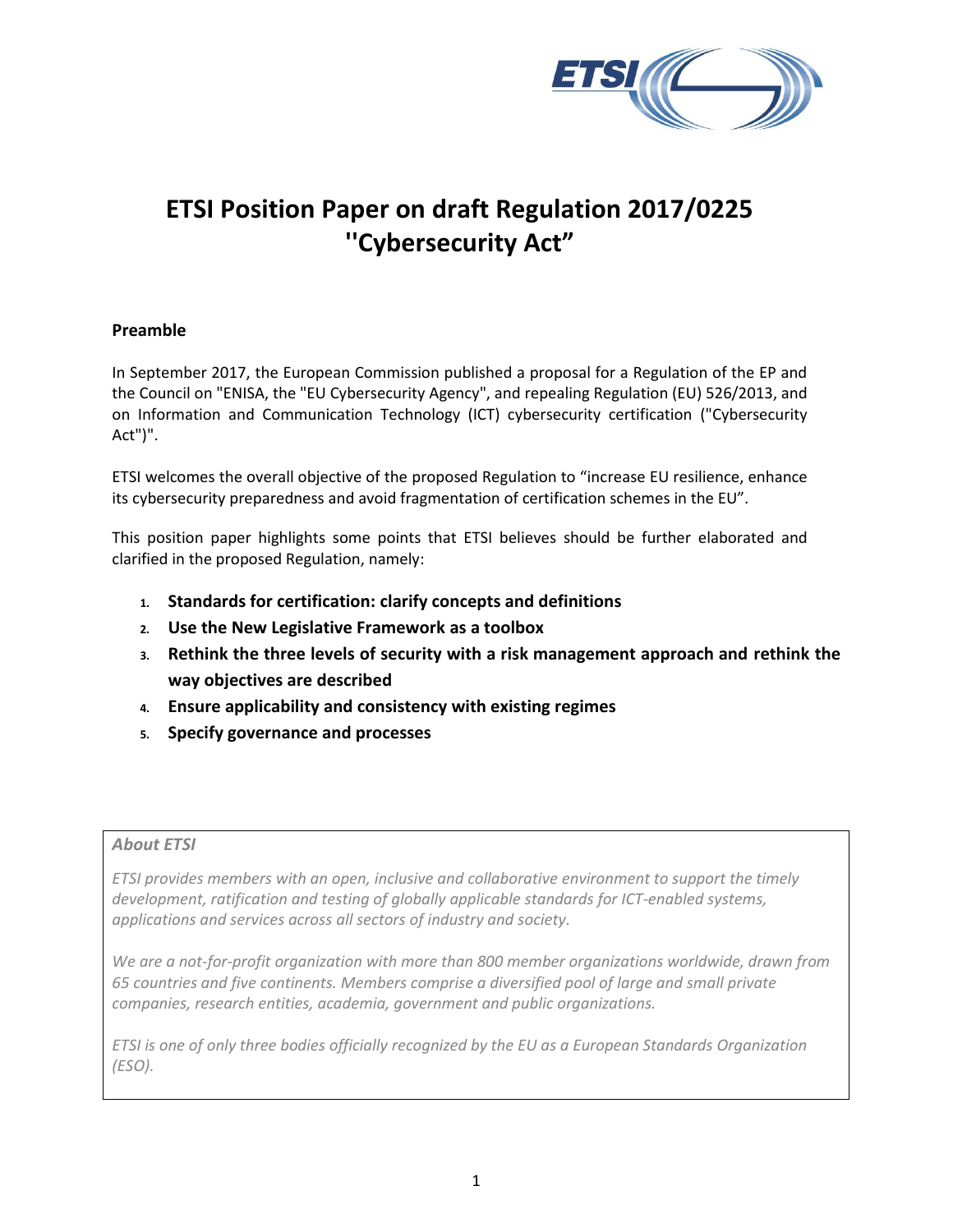

# **ETSI Position Paper on draft Regulation 2017/0225 ''Cybersecurity Act"**

## **Preamble**

In September 2017, the European Commission published a proposal for a Regulation of the EP and the Council on "ENISA, the "EU Cybersecurity Agency", and repealing Regulation (EU) 526/2013, and on Information and Communication Technology (ICT) cybersecurity certification ("Cybersecurity Act")".

ETSI welcomes the overall objective of the proposed Regulation to "increase EU resilience, enhance its cybersecurity preparedness and avoid fragmentation of certification schemes in the EU".

This position paper highlights some points that ETSI believes should be further elaborated and clarified in the proposed Regulation, namely:

- **1. Standards for certification: clarify concepts and definitions**
- **2. Use the New Legislative Framework as a toolbox**
- **3. Rethink the three levels of security with a risk management approach and rethink the way objectives are described**
- **4. Ensure applicability and consistency with existing regimes**
- **5. Specify governance and processes**

## *About ETSI*

*ETSI provides members with an open, inclusive and collaborative environment to support the timely development, ratification and testing of globally applicable standards for ICT-enabled systems, applications and services across all sectors of industry and society.* 

*We are a not-for-profit organization with more than 800 member organizations worldwide, drawn from 65 countries and five continents. Members comprise a diversified pool of large and small private companies, research entities, academia, government and public organizations.*

*ETSI is one of only three bodies officially recognized by the EU as a European Standards Organization (ESO).*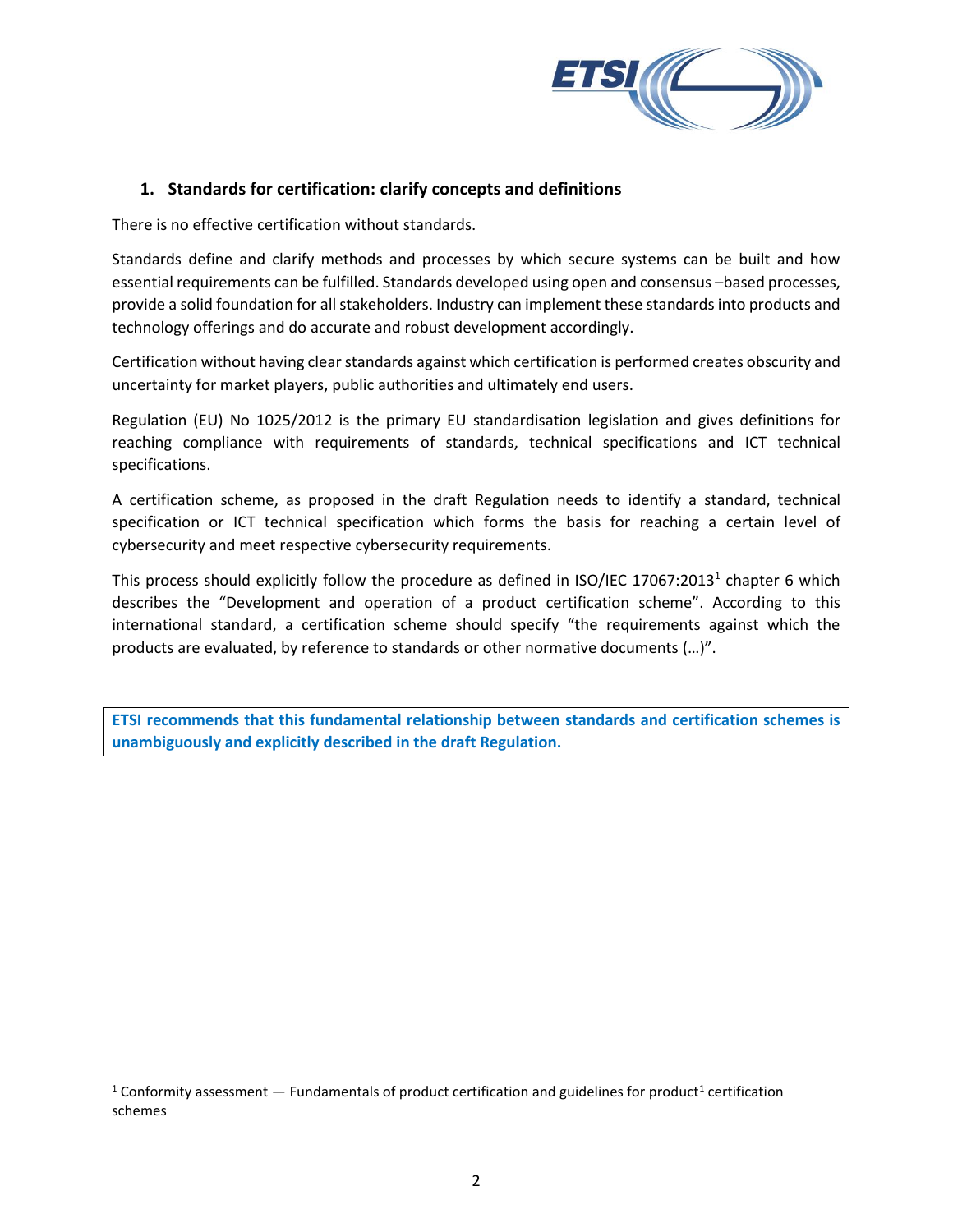

## **1. Standards for certification: clarify concepts and definitions**

There is no effective certification without standards.

Standards define and clarify methods and processes by which secure systems can be built and how essential requirements can be fulfilled. Standards developed using open and consensus –based processes, provide a solid foundation for all stakeholders. Industry can implement these standards into products and technology offerings and do accurate and robust development accordingly.

Certification without having clear standards against which certification is performed creates obscurity and uncertainty for market players, public authorities and ultimately end users.

Regulation (EU) No 1025/2012 is the primary EU standardisation legislation and gives definitions for reaching compliance with requirements of standards, technical specifications and ICT technical specifications.

A certification scheme, as proposed in the draft Regulation needs to identify a standard, technical specification or ICT technical specification which forms the basis for reaching a certain level of cybersecurity and meet respective cybersecurity requirements.

This process should explicitly follow the procedure as defined in ISO/IEC 17067:2013<sup>1</sup> chapter 6 which describes the "Development and operation of a product certification scheme". According to this international standard, a certification scheme should specify "the requirements against which the products are evaluated, by reference to standards or other normative documents (…)".

**ETSI recommends that this fundamental relationship between standards and certification schemes is unambiguously and explicitly described in the draft Regulation.** 

l

<sup>&</sup>lt;sup>1</sup> Conformity assessment  $-$  Fundamentals of product certification and guidelines for product<sup>1</sup> certification schemes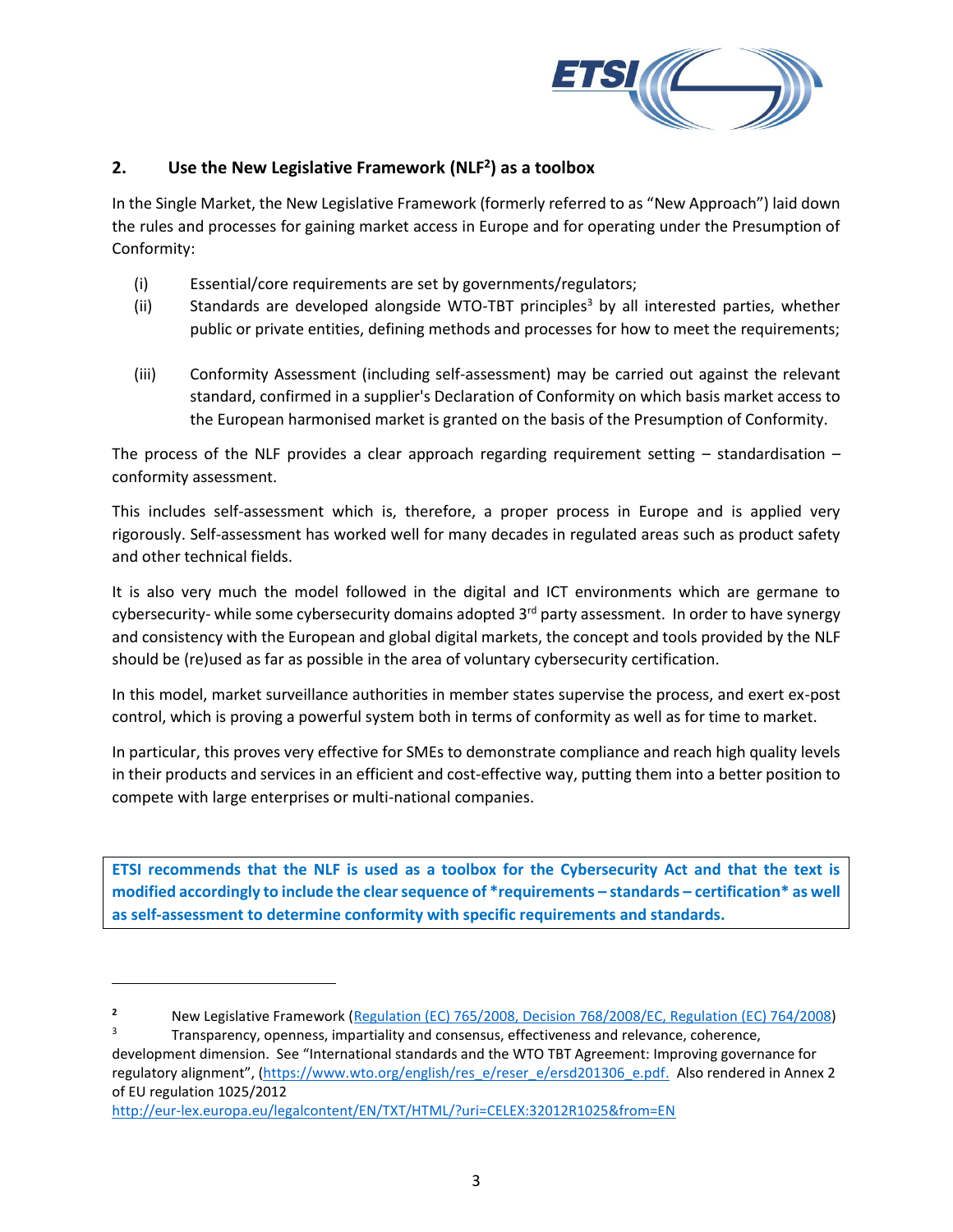

## **2. Use the New Legislative Framework (NLF<sup>2</sup> ) as a toolbox**

In the Single Market, the New Legislative Framework (formerly referred to as "New Approach") laid down the rules and processes for gaining market access in Europe and for operating under the Presumption of Conformity:

- (i) Essential/core requirements are set by governments/regulators;
- (ii) Standards are developed alongside WTO-TBT principles<sup>3</sup> by all interested parties, whether public or private entities, defining methods and processes for how to meet the requirements;
- (iii) Conformity Assessment (including self-assessment) may be carried out against the relevant standard, confirmed in a supplier's Declaration of Conformity on which basis market access to the European harmonised market is granted on the basis of the Presumption of Conformity.

The process of the NLF provides a clear approach regarding requirement setting  $-$  standardisation  $$ conformity assessment.

This includes self-assessment which is, therefore, a proper process in Europe and is applied very rigorously. Self-assessment has worked well for many decades in regulated areas such as product safety and other technical fields.

It is also very much the model followed in the digital and ICT environments which are germane to cybersecurity- while some cybersecurity domains adopted  $3<sup>rd</sup>$  party assessment. In order to have synergy and consistency with the European and global digital markets, the concept and tools provided by the NLF should be (re)used as far as possible in the area of voluntary cybersecurity certification.

In this model, market surveillance authorities in member states supervise the process, and exert ex-post control, which is proving a powerful system both in terms of conformity as well as for time to market.

In particular, this proves very effective for SMEs to demonstrate compliance and reach high quality levels in their products and services in an efficient and cost-effective way, putting them into a better position to compete with large enterprises or multi-national companies.

**ETSI recommends that the NLF is used as a toolbox for the Cybersecurity Act and that the text is modified accordingly to include the clear sequence of \*requirements – standards – certification\* as well as self-assessment to determine conformity with specific requirements and standards.** 

<http://eur-lex.europa.eu/legalcontent/EN/TXT/HTML/?uri=CELEX:32012R1025&from=EN>

 $\overline{a}$ 

**<sup>2</sup>** New Legislative Framework [\(Regulation \(EC\) 765/2008,](http://eur-lex.europa.eu/legal-content/EN/TXT/?uri=CELEX:32008R0765&locale=en) [Decision 768/2008/EC,](http://eur-lex.europa.eu/legal-content/EN/TXT/?uri=CELEX:32008D0768&locale=en) [Regulation \(EC\) 764/2008\)](http://eur-lex.europa.eu/legal-content/EN/TXT/?uri=CELEX:32008R0764&locale=en)

Transparency, openness, impartiality and consensus, effectiveness and relevance, coherence, development dimension. See "International standards and the WTO TBT Agreement: Improving governance for regulatory alignment", ([https://www.wto.org/english/res\\_e/reser\\_e/ersd201306\\_e.pdf.](https://www.wto.org/english/res_e/reser_e/ersd201306_e.pdf) Also rendered in Annex 2 of EU regulation 1025/2012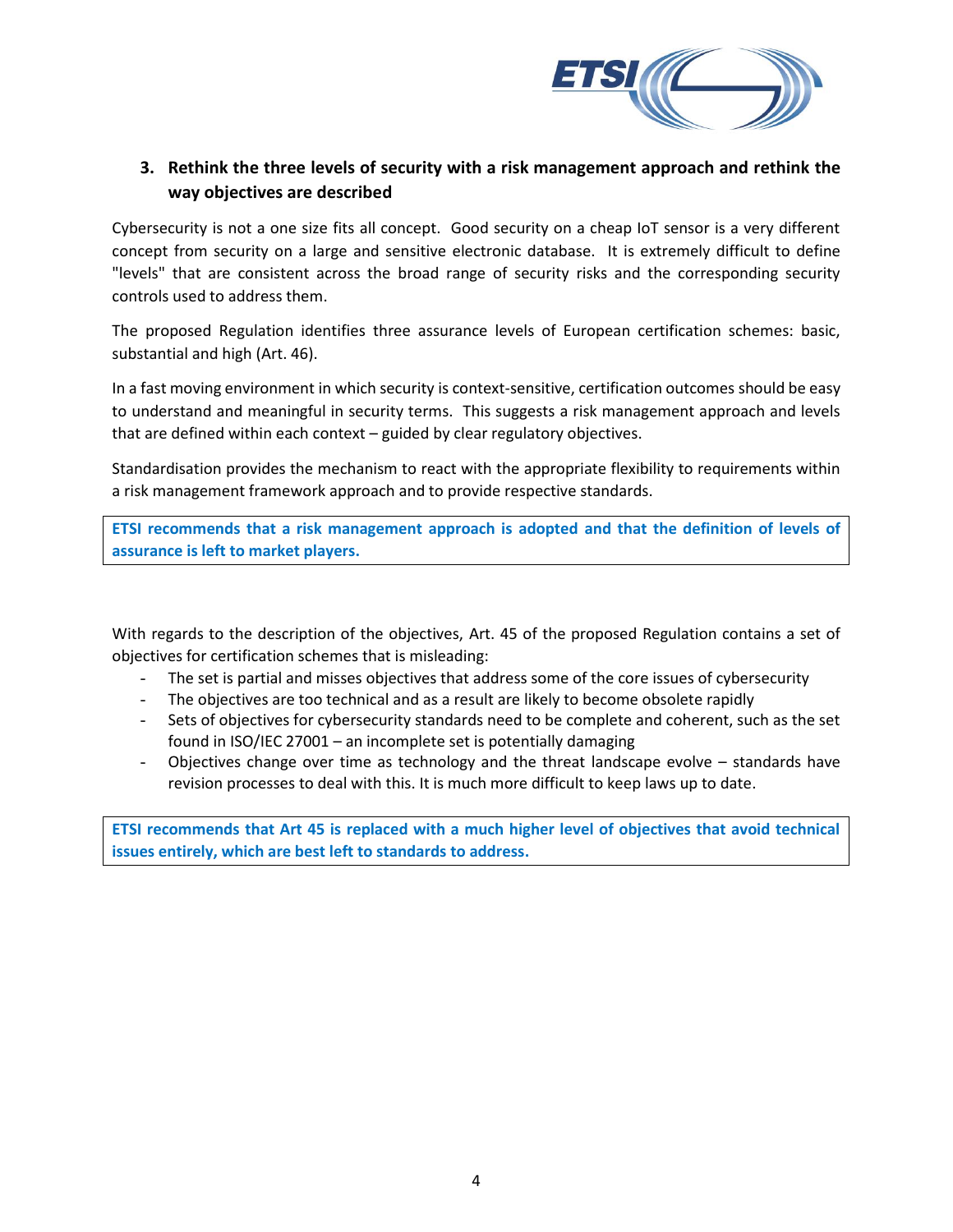

## **3. Rethink the three levels of security with a risk management approach and rethink the way objectives are described**

Cybersecurity is not a one size fits all concept. Good security on a cheap IoT sensor is a very different concept from security on a large and sensitive electronic database. It is extremely difficult to define "levels" that are consistent across the broad range of security risks and the corresponding security controls used to address them.

The proposed Regulation identifies three assurance levels of European certification schemes: basic, substantial and high (Art. 46).

In a fast moving environment in which security is context-sensitive, certification outcomes should be easy to understand and meaningful in security terms. This suggests a risk management approach and levels that are defined within each context – guided by clear regulatory objectives.

Standardisation provides the mechanism to react with the appropriate flexibility to requirements within a risk management framework approach and to provide respective standards.

**ETSI recommends that a risk management approach is adopted and that the definition of levels of assurance is left to market players.**

With regards to the description of the objectives, Art. 45 of the proposed Regulation contains a set of objectives for certification schemes that is misleading:

- The set is partial and misses objectives that address some of the core issues of cybersecurity
- The objectives are too technical and as a result are likely to become obsolete rapidly
- Sets of objectives for cybersecurity standards need to be complete and coherent, such as the set found in ISO/IEC 27001 – an incomplete set is potentially damaging
- Objectives change over time as technology and the threat landscape evolve standards have revision processes to deal with this. It is much more difficult to keep laws up to date.

**ETSI recommends that Art 45 is replaced with a much higher level of objectives that avoid technical issues entirely, which are best left to standards to address.**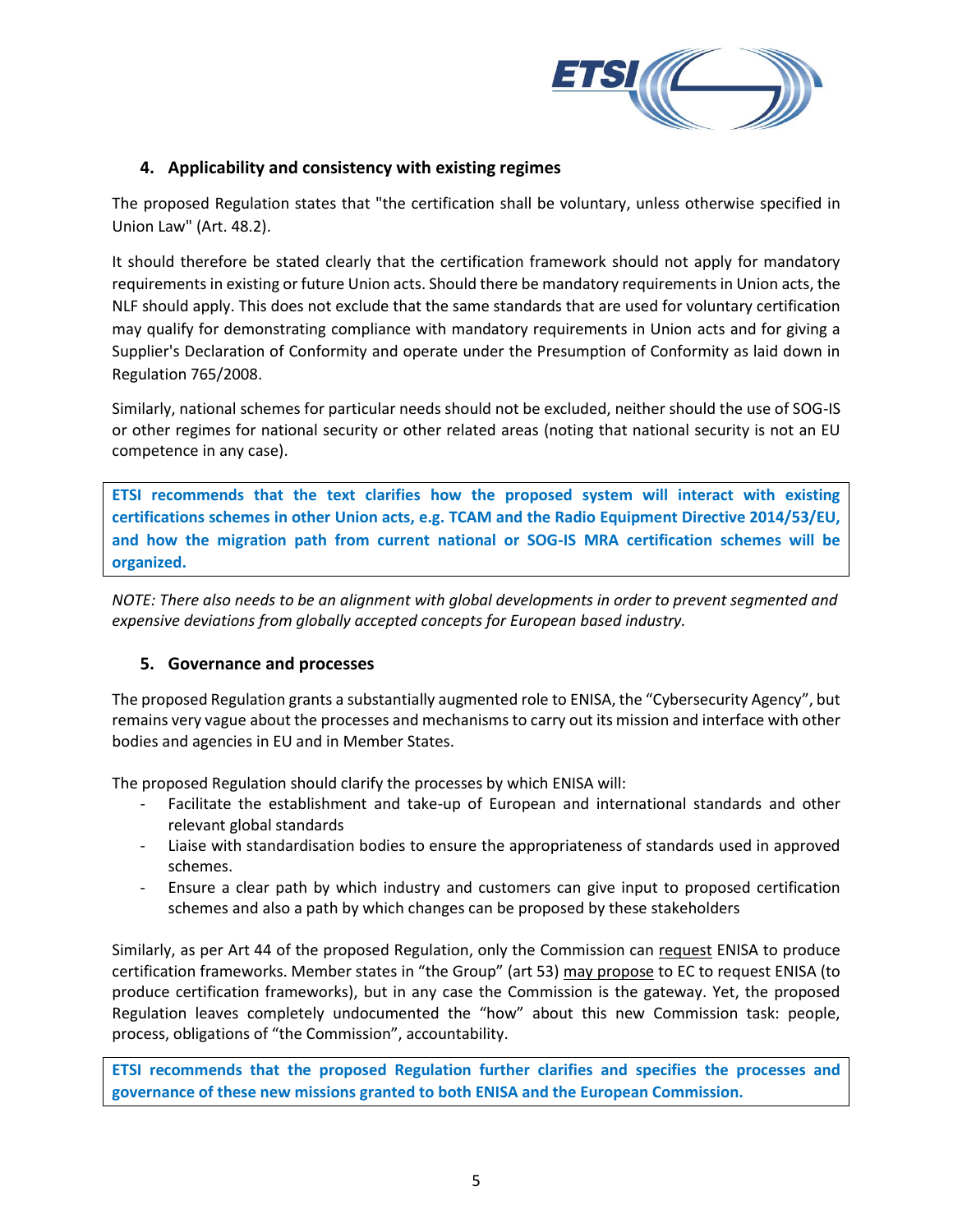

## **4. Applicability and consistency with existing regimes**

The proposed Regulation states that "the certification shall be voluntary, unless otherwise specified in Union Law" (Art. 48.2).

It should therefore be stated clearly that the certification framework should not apply for mandatory requirements in existing or future Union acts. Should there be mandatory requirements in Union acts, the NLF should apply. This does not exclude that the same standards that are used for voluntary certification may qualify for demonstrating compliance with mandatory requirements in Union acts and for giving a Supplier's Declaration of Conformity and operate under the Presumption of Conformity as laid down in Regulation 765/2008.

Similarly, national schemes for particular needs should not be excluded, neither should the use of SOG-IS or other regimes for national security or other related areas (noting that national security is not an EU competence in any case).

**ETSI recommends that the text clarifies how the proposed system will interact with existing certifications schemes in other Union acts, e.g. TCAM and the Radio Equipment Directive 2014/53/EU, and how the migration path from current national or SOG-IS MRA certification schemes will be organized.** 

*NOTE: There also needs to be an alignment with global developments in order to prevent segmented and expensive deviations from globally accepted concepts for European based industry.*

## **5. Governance and processes**

The proposed Regulation grants a substantially augmented role to ENISA, the "Cybersecurity Agency", but remains very vague about the processes and mechanisms to carry out its mission and interface with other bodies and agencies in EU and in Member States.

The proposed Regulation should clarify the processes by which ENISA will:

- Facilitate the establishment and take-up of European and international standards and other relevant global standards
- Liaise with standardisation bodies to ensure the appropriateness of standards used in approved schemes.
- Ensure a clear path by which industry and customers can give input to proposed certification schemes and also a path by which changes can be proposed by these stakeholders

Similarly, as per Art 44 of the proposed Regulation, only the Commission can request ENISA to produce certification frameworks. Member states in "the Group" (art 53) may propose to EC to request ENISA (to produce certification frameworks), but in any case the Commission is the gateway. Yet, the proposed Regulation leaves completely undocumented the "how" about this new Commission task: people, process, obligations of "the Commission", accountability.

**ETSI recommends that the proposed Regulation further clarifies and specifies the processes and governance of these new missions granted to both ENISA and the European Commission.**